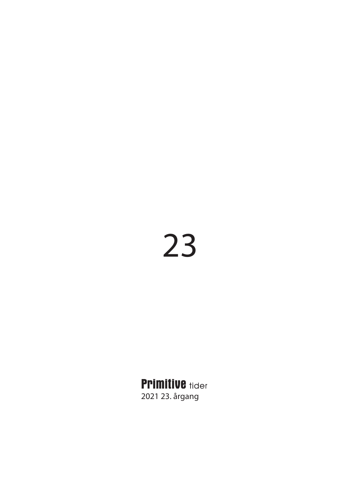# 23

**Primitive tider** 2021 23. årgang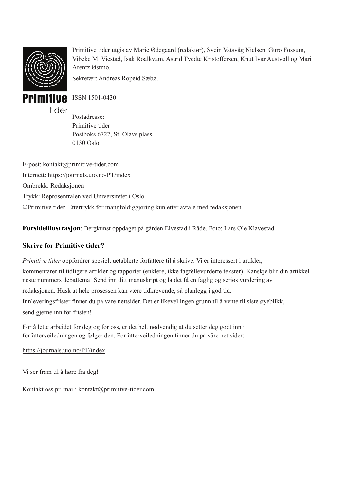

Primitive tider utgis av Marie Ødegaard (redaktør), Svein Vatsvåg Nielsen, Guro Fossum, Vibeke M. Viestad, Isak Roalkvam, Astrid Tvedte Kristoffersen, Knut Ivar Austvoll og Mari Arentz Østmo.

Sekretær: Andreas Ropeid Sæbø.



ISSN 1501-0430

Postadresse: Primitive tider Postboks 6727, St. Olavs plass 0130 Oslo

E-post: kontakt@primitive-tider.com Internett: https://journals.uio.no/PT/index Ombrekk: Redaksjonen Trykk: Reprosentralen ved Universitetet i Oslo ©Primitive tider. Ettertrykk for mangfoldiggjøring kun etter avtale med redaksjonen.

**Forsideillustrasjon**: Bergkunst oppdaget på gården Elvestad i Råde. Foto: Lars Ole Klavestad.

### **Skrive for Primitive tider?**

*Primitive tider* oppfordrer spesielt uetablerte forfattere til å skrive. Vi er interessert i artikler,

kommentarer til tidligere artikler og rapporter (enklere, ikke fagfellevurderte tekster). Kanskje blir din artikkel neste nummers debattema! Send inn ditt manuskript og la det få en faglig og seriøs vurdering av

redaksjonen. Husk at hele prosessen kan være tidkrevende, så planlegg i god tid.

Innleveringsfrister finner du på våre nettsider. Det er likevel ingen grunn til å vente til siste øyeblikk, send gjerne inn før fristen!

For å lette arbeidet for deg og for oss, er det helt nødvendig at du setter deg godt inn i forfatterveiledningen og følger den. Forfatterveiledningen finner du på våre nettsider:

https://journals.uio.no/PT/index

Vi ser fram til å høre fra deg!

Kontakt oss pr. mail: kontakt@primitive-tider.com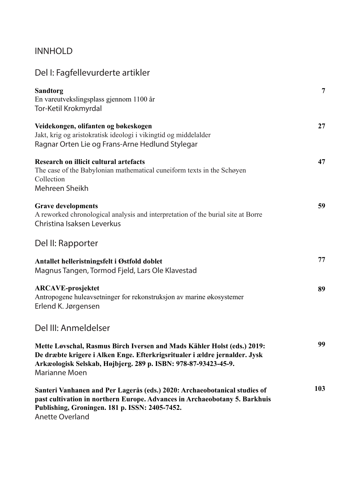### INNHOLD

| Del I: Fagfellevurderte artikler                                                                                                                                                                                                         |     |
|------------------------------------------------------------------------------------------------------------------------------------------------------------------------------------------------------------------------------------------|-----|
| <b>Sandtorg</b><br>En vareutvekslingsplass gjennom 1100 år<br>Tor-Ketil Krokmyrdal                                                                                                                                                       | 7   |
| Veidekongen, olifanten og bøkeskogen<br>Jakt, krig og aristokratisk ideologi i vikingtid og middelalder<br>Ragnar Orten Lie og Frans-Arne Hedlund Stylegar                                                                               | 27  |
| Research on illicit cultural artefacts<br>The case of the Babylonian mathematical cuneiform texts in the Schøyen<br>Collection<br>Mehreen Sheikh                                                                                         | 47  |
| <b>Grave developments</b><br>A reworked chronological analysis and interpretation of the burial site at Borre<br>Christina Isaksen Leverkus                                                                                              | 59  |
| Del II: Rapporter                                                                                                                                                                                                                        |     |
| Antallet helleristningsfelt i Østfold doblet<br>Magnus Tangen, Tormod Fjeld, Lars Ole Klavestad                                                                                                                                          | 77  |
| <b>ARCAVE-prosjektet</b><br>Antropogene huleavsetninger for rekonstruksjon av marine økosystemer<br>Erlend K. Jørgensen                                                                                                                  | 89  |
| Del III: Anmeldelser                                                                                                                                                                                                                     |     |
| Mette Løvschal, Rasmus Birch Iversen and Mads Kähler Holst (eds.) 2019:<br>De dræbte krigere i Alken Enge. Efterkrigsritualer i ældre jernalder. Jysk<br>Arkæologisk Selskab, Højbjerg. 289 p. ISBN: 978-87-93423-45-9.<br>Marianne Moen | 99  |
| Santeri Vanhanen and Per Lagerås (eds.) 2020: Archaeobotanical studies of<br>past cultivation in northern Europe. Advances in Archaeobotany 5. Barkhuis<br>Publishing, Groningen. 181 p. ISSN: 2405-7452.<br>Anette Overland             | 103 |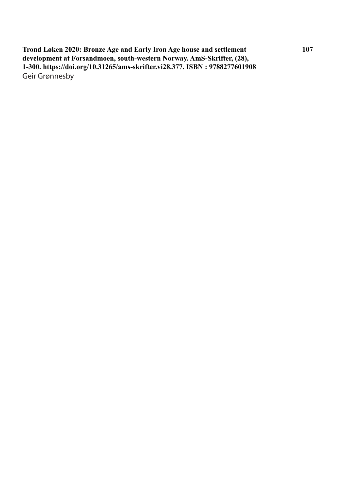**Trond Løken 2020: Bronze Age and Early Iron Age house and settlement development at Forsandmoen, south-western Norway. AmS-Skrifter, (28), 1-300. https://doi.org/10.31265/ams-skrifter.vi28.377. ISBN : 9788277601908** Geir Grønnesby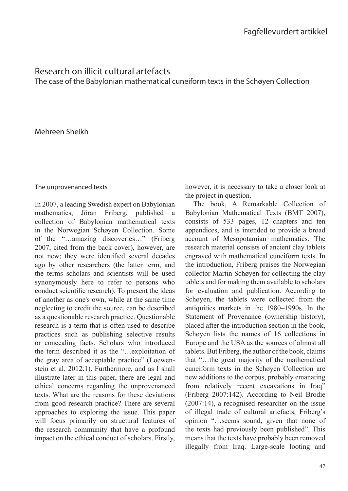### Research on illicit cultural artefacts

The case of the Babylonian mathematical cuneiform texts in the Schøyen Collection

### Mehreen Sheikh

### The unprovenanced texts

In 2007, a leading Swedish expert on Babylonian mathematics, Jöran Friberg, published a collection of Babylonian mathematical texts in the Norwegian Schøyen Collection. Some of the "…amazing discoveries…" (Friberg 2007, cited from the back cover), however, are not new: they were identified several decades ago by other researchers (the latter term, and the terms scholars and scientists will be used synonymously here to refer to persons who conduct scientific research). To present the ideas of another as one's own, while at the same time neglecting to credit the source, can be described as a questionable research practice. Questionable research is a term that is often used to describe practices such as publishing selective results or concealing facts. Scholars who introduced the term described it as the "…exploitation of the gray area of acceptable practice" (Loewenstein et al. 2012:1). Furthermore, and as I shall illustrate later in this paper, there are legal and ethical concerns regarding the unprovenanced texts. What are the reasons for these deviations from good research practice? There are several approaches to exploring the issue. This paper will focus primarily on structural features of the research community that have a profound impact on the ethical conduct of scholars. Firstly,

however, it is necessary to take a closer look at the project in question.

The book, A Remarkable Collection of Babylonian Mathematical Texts (BMT 2007), consists of 533 pages, 12 chapters and ten appendices, and is intended to provide a broad account of Mesopotamian mathematics. The research material consists of ancient clay tablets engraved with mathematical cuneiform texts. In the introduction, Friberg praises the Norwegian collector Martin Schøyen for collecting the clay tablets and for making them available to scholars for evaluation and publication. According to Schøyen, the tablets were collected from the antiquities markets in the 1980–1990s. In the Statement of Provenance (ownership history), placed after the introduction section in the book, Schøyen lists the names of 16 collections in Europe and the USA as the sources of almost all tablets. But Friberg, the author of the book, claims that "…the great majority of the mathematical cuneiform texts in the Schøyen Collection are new additions to the corpus, probably emanating from relatively recent excavations in Iraq" (Friberg 2007:142). According to Neil Brodie (2007:14), a recognised researcher on the issue of illegal trade of cultural artefacts, Friberg's opinion "…seems sound, given that none of the texts had previously been published". This means that the texts have probably been removed illegally from Iraq. Large-scale looting and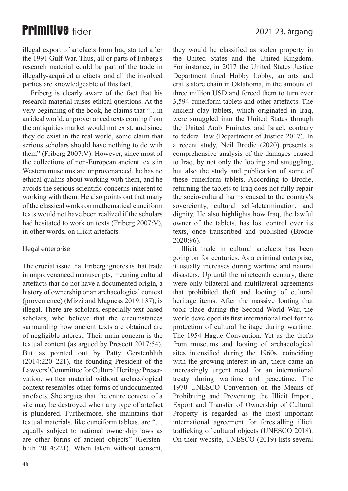### 2021 23. årgang

### **Primitive tider**

illegal export of artefacts from Iraq started after the 1991 Gulf War. Thus, all or parts of Friberg's research material could be part of the trade in illegally-acquired artefacts, and all the involved parties are knowledgeable of this fact.

Friberg is clearly aware of the fact that his research material raises ethical questions. At the very beginning of the book, he claims that "…in an ideal world, unprovenanced texts coming from the antiquities market would not exist, and since they do exist in the real world, some claim that serious scholars should have nothing to do with them" (Friberg 2007:V). However, since most of the collections of non-European ancient texts in Western museums are unprovenanced, he has no ethical qualms about working with them, and he avoids the serious scientific concerns inherent to working with them. He also points out that many of the classical works on mathematical cuneiform texts would not have been realized if the scholars had hesitated to work on texts (Friberg 2007:V), in other words, on illicit artefacts.

### Illegal enterprise

The crucial issue that Friberg ignores is that trade in unprovenanced manuscripts, meaning cultural artefacts that do not have a documented origin, a history of ownership or an archaeological context (provenience) (Mizzi and Magness 2019:137), is illegal. There are scholars, especially text-based scholars, who believe that the circumstances surrounding how ancient texts are obtained are of negligible interest. Their main concern is the textual content (as argued by Prescott 2017:54). But as pointed out by Patty Gerstenblith (2014:220–221), the founding President of the Lawyers' Committee for Cultural Heritage Preservation, written material without archaeological context resembles other forms of undocumented artefacts. She argues that the entire context of a site may be destroyed when any type of artefact is plundered. Furthermore, she maintains that textual materials, like cuneiform tablets, are "… equally subject to national ownership laws as are other forms of ancient objects" (Gerstenblith 2014:221). When taken without consent, they would be classified as stolen property in the United States and the United Kingdom. For instance, in 2017 the United States Justice Department fined Hobby Lobby, an arts and crafts store chain in Oklahoma, in the amount of three million USD and forced them to turn over 3,594 cuneiform tablets and other artefacts. The ancient clay tablets, which originated in Iraq, were smuggled into the United States through the United Arab Emirates and Israel, contrary to federal law (Department of Justice 2017). In a recent study, Neil Brodie (2020) presents a comprehensive analysis of the damages caused to Iraq, by not only the looting and smuggling, but also the study and publication of some of these cuneiform tablets. According to Brodie, returning the tablets to Iraq does not fully repair the socio-cultural harms caused to the country's sovereignty, cultural self-determination, and dignity. He also highlights how Iraq, the lawful owner of the tablets, has lost control over its texts, once transcribed and published (Brodie 2020:96).

Illicit trade in cultural artefacts has been going on for centuries. As a criminal enterprise, it usually increases during wartime and natural disasters. Up until the nineteenth century, there were only bilateral and multilateral agreements that prohibited theft and looting of cultural heritage items. After the massive looting that took place during the Second World War, the world developed its first international tool for the protection of cultural heritage during wartime: The 1954 Hague Convention. Yet as the thefts from museums and looting of archaeological sites intensified during the 1960s, coinciding with the growing interest in art, there came an increasingly urgent need for an international treaty during wartime and peacetime. The 1970 UNESCO Convention on the Means of Prohibiting and Preventing the Illicit Import, Export and Transfer of Ownership of Cultural Property is regarded as the most important international agreement for forestalling illicit trafficking of cultural objects (UNESCO 2018). On their website, UNESCO (2019) lists several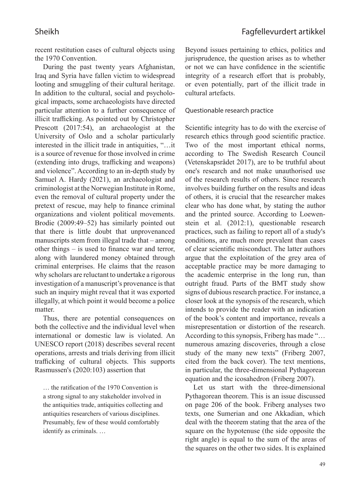recent restitution cases of cultural objects using the 1970 Convention.

During the past twenty years Afghanistan, Iraq and Syria have fallen victim to widespread looting and smuggling of their cultural heritage. In addition to the cultural, social and psychological impacts, some archaeologists have directed particular attention to a further consequence of illicit trafficking. As pointed out by Christopher Prescott (2017:54), an archaeologist at the University of Oslo and a scholar particularly interested in the illicit trade in antiquities, "...it is a source of revenue for those involved in crime (extending into drugs, trafficking and weapons) and violence". According to an in-depth study by Samuel A. Hardy (2021), an archaeologist and criminologist at the Norwegian Institute in Rome, even the removal of cultural property under the pretext of rescue, may help to finance criminal organizations and violent political movements. Brodie (2009:49–52) has similarly pointed out that there is little doubt that unprovenanced manuscripts stem from illegal trade that – among other things  $-$  is used to finance war and terror, along with laundered money obtained through criminal enterprises. He claims that the reason why scholars are reluctant to undertake a rigorous investigation of a manuscript's provenance is that such an inquiry might reveal that it was exported illegally, at which point it would become a police matter.

Thus, there are potential consequences on both the collective and the individual level when international or domestic law is violated. An UNESCO report (2018) describes several recent operations, arrests and trials deriving from illicit trafficking of cultural objects. This supports Rasmussen's (2020:103) assertion that

... the ratification of the 1970 Convention is a strong signal to any stakeholder involved in the antiquities trade, antiquities collecting and antiquities researchers of various disciplines. Presumably, few of these would comfortably identify as criminals. …

Beyond issues pertaining to ethics, politics and jurisprudence, the question arises as to whether or not we can have confidence in the scientific integrity of a research effort that is probably, or even potentially, part of the illicit trade in cultural artefacts.

#### Questionable research practice

Scientific integrity has to do with the exercise of research ethics through good scientific practice. Two of the most important ethical norms, according to The Swedish Research Council (Vetenskapsrådet 2017), are to be truthful about one's research and not make unauthorised use of the research results of others. Since research involves building further on the results and ideas of others, it is crucial that the researcher makes clear who has done what, by stating the author and the printed source. According to Loewenstein et al. (2012:1), questionable research practices, such as failing to report all of a study's conditions, are much more prevalent than cases of clear scientific misconduct. The latter authors argue that the exploitation of the grey area of acceptable practice may be more damaging to the academic enterprise in the long run, than outright fraud. Parts of the BMT study show signs of dubious research practice. For instance, a closer look at the synopsis of the research, which intends to provide the reader with an indication of the book's content and importance, reveals a misrepresentation or distortion of the research. According to this synopsis, Friberg has made "… numerous amazing discoveries, through a close study of the many new texts" (Friberg 2007, cited from the back cover). The text mentions, in particular, the three-dimensional Pythagorean equation and the icosahedron (Friberg 2007).

Let us start with the three-dimensional Pythagorean theorem. This is an issue discussed on page 206 of the book. Friberg analyses two texts, one Sumerian and one Akkadian, which deal with the theorem stating that the area of the square on the hypotenuse (the side opposite the right angle) is equal to the sum of the areas of the squares on the other two sides. It is explained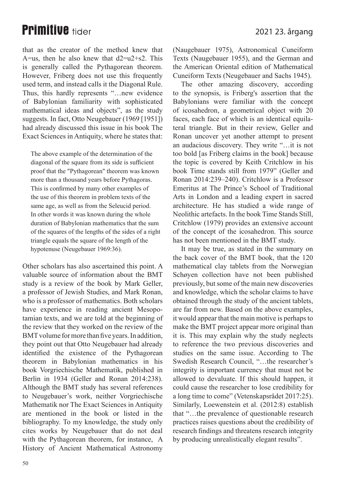that as the creator of the method knew that A=us, then he also knew that  $d2=u2+s2$ . This is generally called the Pythagorean theorem. However, Friberg does not use this frequently used term, and instead calls it the Diagonal Rule. Thus, this hardly represents "…new evidence of Babylonian familiarity with sophisticated mathematical ideas and objects", as the study suggests. In fact, Otto Neugebauer (1969 [1951]) had already discussed this issue in his book The Exact Sciences in Antiquity, where he states that:

The above example of the determination of the diagonal of the square from its side is sufficient proof that the "Pythagorean" theorem was known more than a thousand years before Pythagoras. This is confirmed by many other examples of the use of this theorem in problem texts of the same age, as well as from the Seleucid period. In other words it was known during the whole duration of Babylonian mathematics that the sum of the squares of the lengths of the sides of a right triangle equals the square of the length of the hypotenuse (Neugebauer 1969:36).

Other scholars has also ascertained this point. A valuable source of information about the BMT study is a review of the book by Mark Geller, a professor of Jewish Studies, and Mark Ronan, who is a professor of mathematics. Both scholars have experience in reading ancient Mesopotamian texts, and we are told at the beginning of the review that they worked on the review of the BMT volume for more than five years. In addition, they point out that Otto Neugebauer had already identified the existence of the Pythagorean theorem in Babylonian mathematics in his book Vorgriechische Mathematik, published in Berlin in 1934 (Geller and Ronan 2014:238). Although the BMT study has several references to Neugebauer's work, neither Vorgriechische Mathematik nor The Exact Sciences in Antiquity are mentioned in the book or listed in the bibliography. To my knowledge, the study only cites works by Neugebauer that do not deal with the Pythagorean theorem, for instance, A History of Ancient Mathematical Astronomy (Naugebauer 1975), Astronomical Cuneiform Texts (Naugebauer 1955), and the German and the American Oriental edition of Mathematical Cuneiform Texts (Neugebauer and Sachs 1945).

The other amazing discovery, according to the synopsis, is Friberg's assertion that the Babylonians were familiar with the concept of icosahedron, a geometrical object with 20 faces, each face of which is an identical equilateral triangle. But in their review, Geller and Ronan uncover yet another attempt to present an audacious discovery. They write "…it is not too bold [as Friberg claims in the book] because the topic is covered by Keith Critchlow in his book Time stands still from 1979" (Geller and Ronan 2014:239–240). Critchlow is a Professor Emeritus at The Prince's School of Traditional Arts in London and a leading expert in sacred architecture. He has studied a wide range of Neolithic artefacts. In the book Time Stands Still, Critchlow (1979) provides an extensive account of the concept of the icosahedron. This source has not been mentioned in the BMT study.

It may be true, as stated in the summary on the back cover of the BMT book, that the 120 mathematical clay tablets from the Norwegian Schøyen collection have not been published previously, but some of the main new discoveries and knowledge, which the scholar claims to have obtained through the study of the ancient tablets, are far from new. Based on the above examples, it would appear that the main motive is perhaps to make the BMT project appear more original than it is. This may explain why the study neglects to reference the two previous discoveries and studies on the same issue. According to The Swedish Research Council, "…the researcher's integrity is important currency that must not be allowed to devaluate. If this should happen, it could cause the researcher to lose credibility for a long time to come" (Vetenskapsrådet 2017:25). Similarly, Loewenstein et al. (2012:8) establish that "…the prevalence of questionable research practices raises questions about the credibility of research findings and threatens research integrity by producing unrealistically elegant results".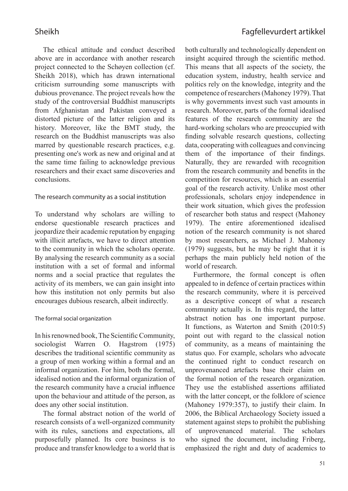The ethical attitude and conduct described above are in accordance with another research project connected to the Schøyen collection (cf. Sheikh 2018), which has drawn international criticism surrounding some manuscripts with dubious provenance. The project reveals how the study of the controversial Buddhist manuscripts from Afghanistan and Pakistan conveyed a distorted picture of the latter religion and its history. Moreover, like the BMT study, the research on the Buddhist manuscripts was also marred by questionable research practices, e.g. presenting one's work as new and original and at the same time failing to acknowledge previous researchers and their exact same discoveries and conclusions.

### The research community as a social institution

To understand why scholars are willing to endorse questionable research practices and jeopardize their academic reputation by engaging with illicit artefacts, we have to direct attention to the community in which the scholars operate. By analysing the research community as a social institution with a set of formal and informal norms and a social practice that regulates the activity of its members, we can gain insight into how this institution not only permits but also encourages dubious research, albeit indirectly.

### The formal social organization

In his renowned book, The Scientific Community, sociologist Warren O. Hagstrom (1975) describes the traditional scientific community as a group of men working within a formal and an informal organization. For him, both the formal, idealised notion and the informal organization of the research community have a crucial influence upon the behaviour and attitude of the person, as does any other social institution.

The formal abstract notion of the world of research consists of a well-organized community with its rules, sanctions and expectations, all purposefully planned. Its core business is to produce and transfer knowledge to a world that is

both culturally and technologically dependent on insight acquired through the scientific method. This means that all aspects of the society, the education system, industry, health service and politics rely on the knowledge, integrity and the competence of researchers (Mahoney 1979). That is why governments invest such vast amounts in research. Moreover, parts of the formal idealised features of the research community are the hard-working scholars who are preoccupied with finding solvable research questions, collecting data, cooperating with colleagues and convincing them of the importance of their findings. Naturally, they are rewarded with recognition from the research community and benefits in the competition for resources, which is an essential goal of the research activity. Unlike most other professionals, scholars enjoy independence in their work situation, which gives the profession of researcher both status and respect (Mahoney 1979). The entire aforementioned idealised notion of the research community is not shared by most researchers, as Michael J. Mahoney (1979) suggests, but he may be right that it is perhaps the main publicly held notion of the world of research.

Furthermore, the formal concept is often appealed to in defence of certain practices within the research community, where it is perceived as a descriptive concept of what a research community actually is. In this regard, the latter abstract notion has one important purpose. It functions, as Waterton and Smith (2010:5) point out with regard to the classical notion of community, as a means of maintaining the status quo. For example, scholars who advocate the continued right to conduct research on unprovenanced artefacts base their claim on the formal notion of the research organization. They use the established assertions affiliated with the latter concept, or the folklore of science (Mahoney 1979:357), to justify their claim. In 2006, the Biblical Archaeology Society issued a statement against steps to prohibit the publishing of unprovenanced material. The scholars who signed the document, including Friberg, emphasized the right and duty of academics to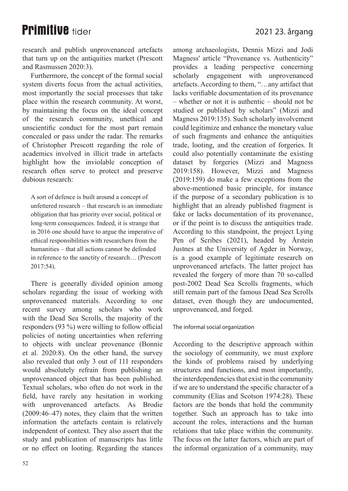research and publish unprovenanced artefacts that turn up on the antiquities market (Prescott and Rasmussen 2020:3).

Furthermore, the concept of the formal social system diverts focus from the actual activities, most importantly the social processes that take place within the research community. At worst, by maintaining the focus on the ideal concept of the research community, unethical and unscientific conduct for the most part remain concealed or pass under the radar. The remarks of Christopher Prescott regarding the role of academics involved in illicit trade in artefacts highlight how the inviolable conception of research often serve to protect and preserve dubious research:

A sort of defence is built around a concept of unfettered research – that research is an immediate obligation that has priority over social, political or long-term consequences. Indeed, it is strange that in 2016 one should have to argue the imperative of ethical responsibilities with researchers from the humanities – that all actions cannot be defended in reference to the sanctity of research… (Prescott 2017:54)

There is generally divided opinion among scholars regarding the issue of working with unprovenanced materials. According to one recent survey among scholars who work with the Dead Sea Scrolls, the majority of the responders  $(93\%)$  were willing to follow official policies of noting uncertainties when referring to objects with unclear provenance (Bonnie et al. 2020:8). On the other hand, the survey also revealed that only 3 out of 111 responders would absolutely refrain from publishing an unprovenanced object that has been published. Textual scholars, who often do not work in the field, have rarely any hesitation in working with unprovenanced artefacts. As Brodie (2009:46–47) notes, they claim that the written information the artefacts contain is relatively independent of context. They also assert that the study and publication of manuscripts has little or no effect on looting. Regarding the stances

among archaeologists, Dennis Mizzi and Jodi Magness' article "Provenance vs. Authenticity" provides a leading perspective concerning scholarly engagement with unprovenanced artefacts. According to them, "…any artifact that lacks verifiable documentation of its provenance – whether or not it is authentic – should not be studied or published by scholars" (Mizzi and Magness 2019:135). Such scholarly involvement could legitimize and enhance the monetary value of such fragments and enhance the antiquities trade, looting, and the creation of forgeries. It could also potentially contaminate the existing dataset by forgeries (Mizzi and Magness 2019:158). However, Mizzi and Magness (2019:159) do make a few exceptions from the above-mentioned basic principle, for instance if the purpose of a secondary publication is to highlight that an already published fragment is fake or lacks documentation of its provenance, or if the point is to discuss the antiquities trade. According to this standpoint, the project Lying Pen of Scribes (2021), headed by Årstein Justnes at the University of Agder in Norway, is a good example of legitimate research on unprovenanced artefacts. The latter project has revealed the forgery of more than 70 so-called post-2002 Dead Sea Scrolls fragments, which still remain part of the famous Dead Sea Scrolls dataset, even though they are undocumented, unprovenanced, and forged.

### The informal social organization

According to the descriptive approach within the sociology of community, we must explore the kinds of problems raised by underlying structures and functions, and most importantly, the interdependencies that exist in the community if we are to understand the specific character of a community (Elias and Scotson 1974:28). These factors are the bonds that hold the community together. Such an approach has to take into account the roles, interactions and the human relations that take place within the community. The focus on the latter factors, which are part of the informal organization of a community, may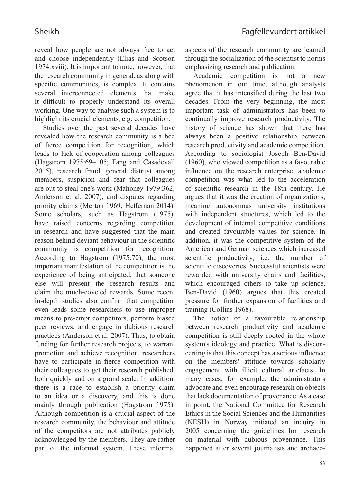reveal how people are not always free to act and choose independently (Elias and Scotson 1974:xviii). It is important to note, however, that the research community in general, as along with specific communities, is complex. It contains several interconnected elements that make it difficult to properly understand its overall working. One way to analyse such a system is to highlight its crucial elements, e.g. competition.

Studies over the past several decades have revealed how the research community is a bed of fierce competition for recognition, which leads to lack of cooperation among colleagues (Hagstrom 1975:69–105; Fang and Casadevall 2015), research fraud, general distrust among members, suspicion and fear that colleagues are out to steal one's work (Mahoney 1979:362; Anderson et al. 2007), and disputes regarding priority claims (Merton 1969; Heffernan 2014). Some scholars, such as Hagstrom (1975), have raised concerns regarding competition in research and have suggested that the main reason behind deviant behaviour in the scientific community is competition for recognition. According to Hagstrom (1975:70), the most important manifestation of the competition is the experience of being anticipated, that someone else will present the research results and claim the much-coveted rewards. Some recent in-depth studies also confirm that competition even leads some researchers to use improper means to pre-empt competitors, perform biased peer reviews, and engage in dubious research practices (Anderson et al. 2007). Thus, to obtain funding for further research projects, to warrant promotion and achieve recognition, researchers have to participate in fierce competition with their colleagues to get their research published, both quickly and on a grand scale. In addition, there is a race to establish a priority claim to an idea or a discovery, and this is done mainly through publication (Hagstrom 1975). Although competition is a crucial aspect of the research community, the behaviour and attitude of the competitors are not attributes publicly acknowledged by the members. They are rather part of the informal system. These informal aspects of the research community are learned through the socialization of the scientist to norms emphasizing research and publication.

Academic competition is not a new phenomenon in our time, although analysts agree that it has intensified during the last two decades. From the very beginning, the most important task of administrators has been to continually improve research productivity. The history of science has shown that there has always been a positive relationship between research productivity and academic competition. According to sociologist Joseph Ben-David (1960), who viewed competition as a favourable influence on the research enterprise, academic competition was what led to the acceleration of scientific research in the 18th century. He argues that it was the creation of organizations, meaning autonomous university institutions with independent structures, which led to the development of internal competitive conditions and created favourable values for science. In addition, it was the competitive system of the American and German sciences which increased scientific productivity, i.e. the number of scientific discoveries. Successful scientists were rewarded with university chairs and facilities, which encouraged others to take up science. Ben-David (1960) argues that this created pressure for further expansion of facilities and training (Collins 1968).

The notion of a favourable relationship between research productivity and academic competition is still deeply rooted in the whole system's ideology and practice. What is disconcerting is that this concept has a serious influence on the members' attitude towards scholarly engagement with illicit cultural artefacts. In many cases, for example, the administrators advocate and even encourage research on objects that lack documentation of provenance. As a case in point, the National Committee for Research Ethics in the Social Sciences and the Humanities (NESH) in Norway initiated an inquiry in 2005 concerning the guidelines for research on material with dubious provenance. This happened after several journalists and archaeo-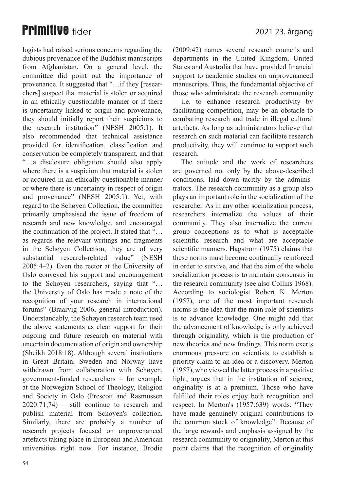logists had raised serious concerns regarding the dubious provenance of the Buddhist manuscripts from Afghanistan. On a general level, the committee did point out the importance of provenance. It suggested that "…if they [researchers] suspect that material is stolen or acquired in an ethically questionable manner or if there is uncertainty linked to origin and provenance, they should initially report their suspicions to the research institution" (NESH 2005:1). It also recommended that technical assistance provided for identification, classification and conservation be completely transparent, and that "…a disclosure obligation should also apply where there is a suspicion that material is stolen or acquired in an ethically questionable manner or where there is uncertainty in respect of origin and provenance" (NESH 2005:1). Yet, with regard to the Schøyen Collection, the committee primarily emphasised the issue of freedom of research and new knowledge, and encouraged the continuation of the project. It stated that "… as regards the relevant writings and fragments in the Schøyen Collection, they are of very substantial research-related value" (NESH 2005:4–2). Even the rector at the University of Oslo conveyed his support and encouragement to the Schøyen researchers, saying that "… the University of Oslo has made a note of the recognition of your research in international forums" (Braarvig 2006, general introduction). Understandably, the Schøyen research team used the above statements as clear support for their ongoing and future research on material with uncertain documentation of origin and ownership (Sheikh 2018:18). Although several institutions in Great Britain, Sweden and Norway have withdrawn from collaboration with Schøyen, government-funded researchers – for example at the Norwegian School of Theology, Religion and Society in Oslo (Prescott and Rasmussen 2020:71;74) – still continue to research and publish material from Schøyen's collection. Similarly, there are probably a number of research projects focused on unprovenanced artefacts taking place in European and American universities right now. For instance, Brodie

54

(2009:42) names several research councils and departments in the United Kingdom, United States and Australia that have provided financial support to academic studies on unprovenanced manuscripts. Thus, the fundamental objective of those who administrate the research community – i.e. to enhance research productivity by facilitating competition, may be an obstacle to combating research and trade in illegal cultural artefacts. As long as administrators believe that research on such material can facilitate research productivity, they will continue to support such research.

The attitude and the work of researchers are governed not only by the above-described conditions, laid down tacitly by the administrators. The research community as a group also plays an important role in the socialization of the researcher. As in any other socialization process, researchers internalize the values of their community. They also internalize the current group conceptions as to what is acceptable scientific research and what are acceptable scientific manners. Hagstrom (1975) claims that these norms must become continually reinforced in order to survive, and that the aim of the whole socialization process is to maintain consensus in the research community (see also Collins 1968). According to sociologist Robert K. Merton (1957), one of the most important research norms is the idea that the main role of scientists is to advance knowledge. One might add that the advancement of knowledge is only achieved through originality, which is the production of new theories and new findings. This norm exerts enormous pressure on scientists to establish a priority claim to an idea or a discovery. Merton (1957), who viewed the latter process in a positive light, argues that in the institution of science, originality is at a premium. Those who have fulfilled their roles enjoy both recognition and respect. In Merton's (1957:639) words: "They have made genuinely original contributions to the common stock of knowledge". Because of the large rewards and emphasis assigned by the research community to originality, Merton at this point claims that the recognition of originality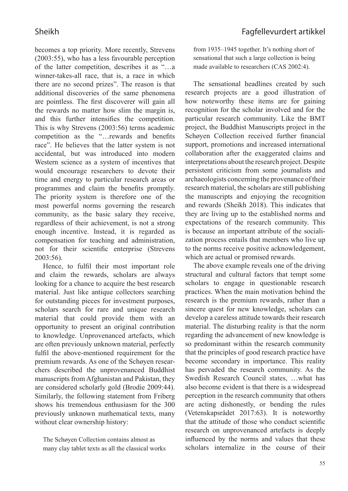becomes a top priority. More recently, Strevens (2003:55), who has a less favourable perception of the latter competition, describes it as "…a winner-takes-all race, that is, a race in which there are no second prizes". The reason is that additional discoveries of the same phenomena are pointless. The first discoverer will gain all the rewards no matter how slim the margin is, and this further intensifies the competition. This is why Strevens (2003:56) terms academic competition as the "...rewards and benefits race". He believes that the latter system is not accidental, but was introduced into modern Western science as a system of incentives that would encourage researchers to devote their time and energy to particular research areas or programmes and claim the benefits promptly. The priority system is therefore one of the most powerful norms governing the research community, as the basic salary they receive, regardless of their achievement, is not a strong enough incentive. Instead, it is regarded as compensation for teaching and administration, not for their scientific enterprise (Strevens 2003:56).

Hence, to fulfil their most important role and claim the rewards, scholars are always looking for a chance to acquire the best research material. Just like antique collectors searching for outstanding pieces for investment purposes, scholars search for rare and unique research material that could provide them with an opportunity to present an original contribution to knowledge. Unprovenanced artefacts, which are often previously unknown material, perfectly fulfil the above-mentioned requirement for the premium rewards. As one of the Schøyen researchers described the unprovenanced Buddhist manuscripts from Afghanistan and Pakistan, they are considered scholarly gold (Brodie 2009:44). Similarly, the following statement from Friberg shows his tremendous enthusiasm for the 300 previously unknown mathematical texts, many without clear ownership history:

The Schøyen Collection contains almost as many clay tablet texts as all the classical works

from 1935–1945 together. It's nothing short of sensational that such a large collection is being made available to researchers (CAS 2002:4).

The sensational headlines created by such research projects are a good illustration of how noteworthy these items are for gaining recognition for the scholar involved and for the particular research community. Like the BMT project, the Buddhist Manuscripts project in the Schøyen Collection received further financial support, promotions and increased international collaboration after the exaggerated claims and interpretations about the research project. Despite persistent criticism from some journalists and archaeologists concerning the provenance of their research material, the scholars are still publishing the manuscripts and enjoying the recognition and rewards (Sheikh 2018). This indicates that they are living up to the established norms and expectations of the research community. This is because an important attribute of the socialization process entails that members who live up to the norms receive positive acknowledgement, which are actual or promised rewards.

The above example reveals one of the driving structural and cultural factors that tempt some scholars to engage in questionable research practices. When the main motivation behind the research is the premium rewards, rather than a sincere quest for new knowledge, scholars can develop a careless attitude towards their research material. The disturbing reality is that the norm regarding the advancement of new knowledge is so predominant within the research community that the principles of good research practice have become secondary in importance. This reality has pervaded the research community. As the Swedish Research Council states, …what has also become evident is that there is a widespread perception in the research community that others are acting dishonestly, or bending the rules (Vetenskapsrådet 2017:63). It is noteworthy that the attitude of those who conduct scientific research on unprovenanced artefacts is deeply influenced by the norms and values that these scholars internalize in the course of their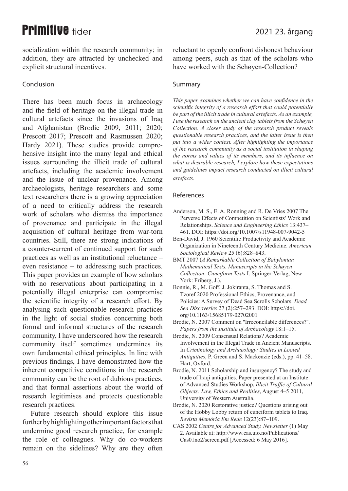socialization within the research community; in addition, they are attracted by unchecked and explicit structural incentives.

### Conclusion

There has been much focus in archaeology and the field of heritage on the illegal trade in cultural artefacts since the invasions of Iraq and Afghanistan (Brodie 2009, 2011; 2020; Prescott 2017; Prescott and Rasmussen 2020; Hardy 2021). These studies provide comprehensive insight into the many legal and ethical issues surrounding the illicit trade of cultural artefacts, including the academic involvement and the issue of unclear provenance. Among archaeologists, heritage researchers and some text researchers there is a growing appreciation of a need to critically address the research work of scholars who dismiss the importance of provenance and participate in the illegal acquisition of cultural heritage from war-torn countries. Still, there are strong indications of a counter-current of continued support for such practices as well as an institutional reluctance – even resistance – to addressing such practices. This paper provides an example of how scholars with no reservations about participating in a potentially illegal enterprise can compromise the scientific integrity of a research effort. By analysing such questionable research practices in the light of social studies concerning both formal and informal structures of the research community, I have underscored how the research community itself sometimes undermines its own fundamental ethical principles. In line with previous findings, I have demonstrated how the inherent competitive conditions in the research community can be the root of dubious practices, and that formal assertions about the world of research legitimises and protects questionable research practices.

Future research should explore this issue further by highlighting other important factors that undermine good research practice, for example the role of colleagues. Why do co-workers remain on the sidelines? Why are they often reluctant to openly confront dishonest behaviour among peers, such as that of the scholars who have worked with the Schøyen-Collection?

#### Summary

This paper examines whether we can have confidence in the *scientific integrity of a research effort that could potentially be part of the illicit trade in cultural artefacts. As an example, I* use the research on the ancient clay tablets from the Schøyen *Collection. A closer study of the research product reveals guestionable research practices, and the latter issue is then put into a wider context. After highlighting the importance* of the research community as a social institution in shaping *the norms and values of its members, and its influence on what is desirable research, I explore how these expectations* and guidelines impact research conducted on illicit cultural *artefacts.* 

#### References

- Anderson, M. S., E. A. Ronning and R. De Vries 2007 The Perverse Effects of Competition on Scientists' Work and Relationships. *Science and Engineering Ethics* 13:437– 461. DOI: https://doi.org/10.1007/s11948-007-9042-5
- Ben-David, J. 1960 Scientific Productivity and Academic Organization in Nineteenth Century Medicine. American *Sociological Review 25 (6):828-843.*
- BMT 2007 (A Remarkable Collection of Babylonian *Mathematical Texts. Manuscripts in the Schøven Collection: Cuneiform Texts I. Springer-Verlag, New* York: Friberg, J.).
- Bonnie, R., M. Goff, J. Jokiranta, S. Thomas and S. Tzoref 2020 Professional Ethics, Provenance, and Policies: A Survey of Dead Sea Scrolls Scholars. Dead *Sea Discoveries* 27 (2):257-293. DOI: https://doi. org/10.1163/15685179-02702001
- Brodie, N. 2007 Comment on "Irreconcilable differences?". l I *Papers from the Institute of Archaeology* 18:1–15.
- Brodie, N. 2009 Consensual Relations? Academic Involvement in the Illegal Trade in Ancient Manuscripts. In Criminology and Archaeology: Studies in Looted *Antiquities, P. Green and S. Mackenzie (eds.), pp. 41–58.* Hart, Oxford.
- Brodie, N. 2011 Scholarship and insurgency? The study and trade of Iraqi antiquities. Paper presented at an Institute of Advanced Studies Workshop, *Illicit Traffic of Cultural Objects: Law, Ethics and Realities, August 4–5 2011,* University of Western Australia.
- Brodie, N. 2020 Restorative justice? Questions arising out of the Hobby Lobby return of cuneiform tablets to Iraq. *Revista Memória Em Rede* 12(23):87-109.
- CAS 2002 *Centre for Advanced Study. Newsletter* (1) May 2. Available at: http://www.cas.uio.no/Publications/ Cas01no2/screen.pdf [Accessed: 6 May 2016].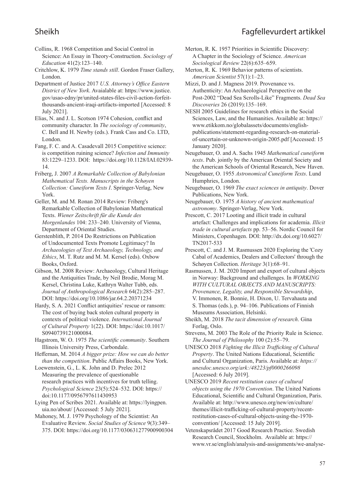### Sheikh Fagfellevurdert artikkel

Collins, R. 1968 Competition and Social Control in Science: An Essay in Theory-Construction. *Sociology of Education* 41(2):123-140.

Critchlow, K. 1979 *Time stands still*. Gordon Fraser Gallery, London.

Department of Justice 2017 U.S. Attorney's Office Eastern District of New York. Avaialable at: https://www.justice. gov/usao-edny/pr/united-states-files-civil-action-forfeitthousands-ancient-iraqi-artifacts-imported [Accessed: 8 July 2021].

Elias, N. and J. L. Scotson 1974 Cohesion, conflict and community character. In *The sociology of community*, C. Bell and H. Newby (eds.). Frank Cass and Co. LTD, London.

Fang, F. C. and A. Casadevall 2015 Competitive science: is competition ruining science? *Infection and Immunity* 83:1229-1233. DOI: https://doi.org/10.1128/IAI.02939-14.

Friberg, J. 2007 *A Remarkable Collection of Babylonian Mathematical Texts. Manuscripts in the Schøyen Collection: Cuneiform Texts I. Springer-Verlag, New* York.

Geller, M. and M. Ronan 2014 Review: Friberg's Remarkable Collection of Babylonian Mathematical Texts. Wiener Zeitschrift für die Kunde des *Morgenlandes* 104: 233–240. University of Vienna, Department of Oriental Studies.

Gerstenblith, P. 2014 Do Restrictions on Publication of Undocumented Texts Promote Legitimacy? In *Archaeologies of Text Archaeology, Technology, and Ethics*, M. T. Rutz and M. M. Kersel (eds). Oxbow Books, Oxford.

Gibson, M. 2008 Review: Archaeology, Cultural Heritage and the Antiquities Trade, by Neil Brodie, Morag M. Kersel, Christina Luke, Kathryn Walter Tubb, eds. Journal of Anthropological Research 64(2):285-287. DOI: https://doi.org/10.1086/jar.64.2.20371234

Hardy, S. A. 2021 Conflict antiquities' rescue or ransom: The cost of buying back stolen cultural property in contexts of political violence. *International Journal* of Cultural Property 1(22). DOI: https://doi:10.1017/ S0940739121000084.

Hagstrom, W. O. 1975 *The scientific community*. Southern Illinois University Press, Carbondale.

Heffernan, M. 2014 A bigger prize: How we can do better *than the competition*. Public Affairs Books, New York.

Loewenstein, G., L. K. John and D. Prelec 2012 Measuring the prevalence of questionable research practices with incentives for truth telling. Psychological Science 23(5):524-532. DOI: https:// doi:10.1177/0956797611430953

Lying Pen of Scribes 2021. Available at: https://lyingpen. uia.no/about/ [Accessed: 5 July 2021].

Mahoney, M. J. 1979 Psychology of the Scientist: An Evaluative Review. *Social Studies of Science* 9(3):349– 375. DOI: https://doi.org/10.1177/030631277900900304 Merton, R. K. 1957 Priorities in Scientific Discovery: A Chapter in the Sociology of Science. *American Sociological Review 22(6):635-659.* 

Merton, R. K. 1969 Behavior patterns of scientists. *American Scientist* 57(1):1–23.

Mizzi, D. and J. Magness 2019. Provenance vs. Authenticity: An Archaeological Perspective on the Post-2002 "Dead Sea Scrolls-Like" Fragments. Dead Sea *Discoveries* 26 (2019):135–169.

NESH 2005 Guidelines for research ethics in the Social Sciences, Law, and the Humanities. Available at: https:// www.etikkom.no/globalassets/documents/englishpublications/statement-regarding-research-on-materialof-uncertain-or-unknown-origin-2005.pdf [Accessed: 15 January 2020].

Neugebauer, O. and A. Sachs 1945 Mathematical cuneiform *texts*. Pub. jointly by the American Oriental Society and the American Schools of Oriental Research, New Haven.

- Neugebauer, O. 1955 *Astronomical Cuneiform Texts*. Lund Humphries, London.
- Neugebauer, O. 1969 *The exact sciences in antiquity*. Dover Publications, New York.

Neugebauer, O. 1975 A history of ancient mathematical astronomy. Springer-Verlag, New York.

Prescott, C. 2017 Looting and illicit trade in cultural artefact: Challenges and implications for academia. *Illicit trade in cultural artefacts pp.* 53–56. Nordic Council for Ministers, Copenhagen. DOI: http://dx.doi.org/10.6027/ TN2017-533

Prescott, C. and J. M. Rasmussen 2020 Exploring the 'Cozy Cabal of Academics, Dealers and Collectors' through the Schøyen Collection. *Heritage* 3(1):68-91.

Rasmussen, J. M. 2020 Import and export of cultural objects in Norway: Background and challenges. In **WORKING WITH CULTURAL OBJECTS AND MANUSCRIPTS:** Provenance, Legality, and Responsible Stewardship, V. Immonen, R. Bonnie, H. Dixon, U. Tervahauta and S. Thomas (eds.), p. 94–106. Publications of Finnish Museums Association, Helsinki.

Sheikh, M. 2018 The tacit dimension of research. Gina Forlag, Oslo.

Strevens, M. 2003 The Role of the Priority Rule in Science. *The Journal of Philosophy* 100 (2):55–79.

UNESCO 2018 Fighting the Illicit Trafficking of Cultural *Property*. The United Nations Educational, Scientific and Cultural Organization, Paris. Available at: https:// unesdoc.unesco.org/ark:/48223/pf0000266098 [Accessed: 6 July 2019].

UNESCO 2019 Recent restitution cases of cultural *objects using the 1970 Convention*. The United Nations Educational, Scientific and Cultural Organization, Paris. Available at: http://www.unesco.org/new/en/culture/ themes/illicit-trafficking-of-cultural-property/recentrestitution-cases-of-cultural-objects-using-the-1970 convention/ [Accessed: 15 July 2019].

Vetenskapsrådet 2017 Good Research Practice. Swedish Research Council, Stockholm. Available at: https:// www.vr.se/english/analysis-and-assignments/we-analyse-